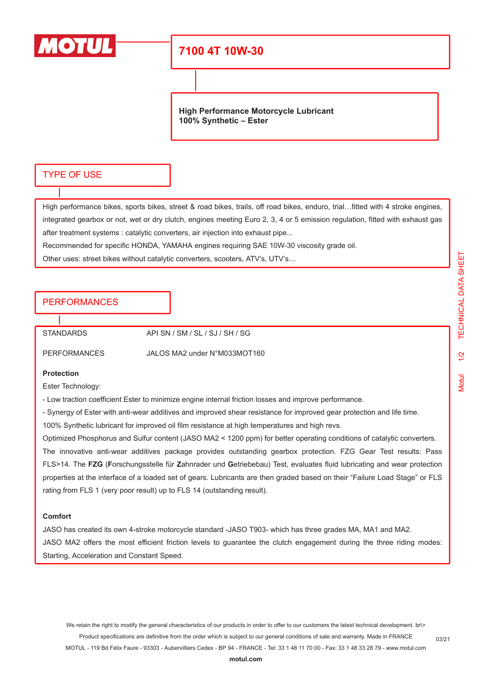

## **7100 4T 10W-30**

**High Performance Motorcycle Lubricant 100% Synthetic – Ester**

### TYPE OF USE

High performance bikes, sports bikes, street & road bikes, trails, off road bikes, enduro, trial…fitted with 4 stroke engines, integrated gearbox or not, wet or dry clutch, engines meeting Euro 2, 3, 4 or 5 emission regulation, fitted with exhaust gas after treatment systems : catalytic converters, air injection into exhaust pipe...

Recommended for specific HONDA, YAMAHA engines requiring SAE 10W-30 viscosity grade oil.

Other uses: street bikes without catalytic converters, scooters, ATV's, UTV's…

## PERFORMANCES

STANDARDS API SN / SM / SL / SJ / SH / SG

PERFORMANCES JALOS MA2 under N°M033MOT160

#### **Protection**

Ester Technology:

- Low traction coefficient Ester to minimize engine internal friction losses and improve performance.

- Synergy of Ester with anti-wear additives and improved shear resistance for improved gear protection and life time.

100% Synthetic lubricant for improved oil film resistance at high temperatures and high revs.

Optimized Phosphorus and Sulfur content (JASO MA2 < 1200 ppm) for better operating conditions of catalytic converters.

The innovative anti-wear additives package provides outstanding gearbox protection. FZG Gear Test results: Pass FLS>14. The **FZG** (**F**orschungsstelle für **Z**ahnrader und **G**etriebebau) Test, evaluates fluid lubricating and wear protection properties at the interface of a loaded set of gears. Lubricants are then graded based on their "Failure Load Stage" or FLS rating from FLS 1 (very poor result) up to FLS 14 (outstanding result).

#### **Comfort**

JASO has created its own 4-stroke motorcycle standard -JASO T903- which has three grades MA, MA1 and MA2. JASO MA2 offers the most efficient friction levels to guarantee the clutch engagement during the three riding modes: Starting, Acceleration and Constant Speed.

We retain the right to modify the general characteristics of our products in order to offer to our customers the latest technical development. br\> Product specifications are definitive from the order which is subject to our general conditions of sale and warranty. Made in FRANCE MOTUL - 119 Bd Félix Faure - 93303 - Aubervilliers Cedex - BP 94 - FRANCE - Tel: 33 1 48 11 70 00 - Fax: 33 1 48 33 28 79 - www.motul.com